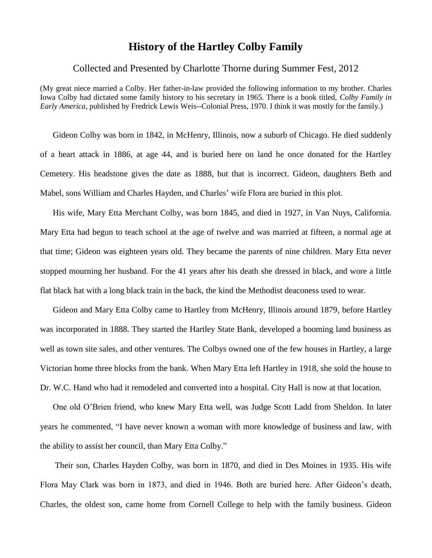## **History of the Hartley Colby Family**

## Collected and Presented by Charlotte Thorne during Summer Fest, 2012

(My great niece married a Colby. Her father-in-law provided the following information to my brother. Charles Iowa Colby had dictated some family history to his secretary in 1965. There is a book titled, *Colby Family in Early America*, published by Fredrick Lewis Weis--Colonial Press, 1970. I think it was mostly for the family.)

Gideon Colby was born in 1842, in McHenry, Illinois, now a suburb of Chicago. He died suddenly of a heart attack in 1886, at age 44, and is buried here on land he once donated for the Hartley Cemetery. His headstone gives the date as 1888, but that is incorrect. Gideon, daughters Beth and Mabel, sons William and Charles Hayden, and Charles' wife Flora are buried in this plot.

His wife, Mary Etta Merchant Colby, was born 1845, and died in 1927, in Van Nuys, California. Mary Etta had begun to teach school at the age of twelve and was married at fifteen, a normal age at that time; Gideon was eighteen years old. They became the parents of nine children. Mary Etta never stopped mourning her husband. For the 41 years after his death she dressed in black, and wore a little flat black hat with a long black train in the back, the kind the Methodist deaconess used to wear.

Gideon and Mary Etta Colby came to Hartley from McHenry, Illinois around 1879, before Hartley was incorporated in 1888. They started the Hartley State Bank, developed a booming land business as well as town site sales, and other ventures. The Colbys owned one of the few houses in Hartley, a large Victorian home three blocks from the bank. When Mary Etta left Hartley in 1918, she sold the house to Dr. W.C. Hand who had it remodeled and converted into a hospital. City Hall is now at that location.

One old O'Brien friend, who knew Mary Etta well, was Judge Scott Ladd from Sheldon. In later years he commented, "I have never known a woman with more knowledge of business and law, with the ability to assist her council, than Mary Etta Colby."

Their son, Charles Hayden Colby, was born in 1870, and died in Des Moines in 1935. His wife Flora May Clark was born in 1873, and died in 1946. Both are buried here. After Gideon's death, Charles, the oldest son, came home from Cornell College to help with the family business. Gideon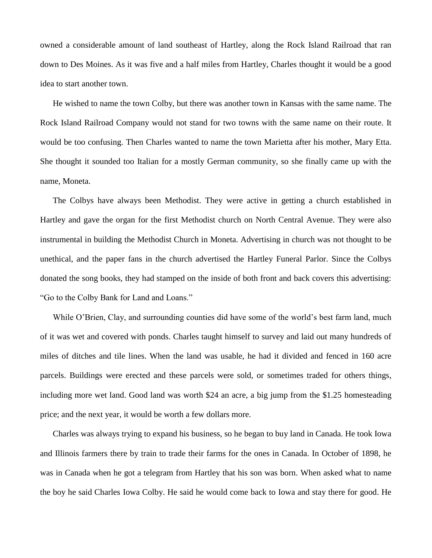owned a considerable amount of land southeast of Hartley, along the Rock Island Railroad that ran down to Des Moines. As it was five and a half miles from Hartley, Charles thought it would be a good idea to start another town.

He wished to name the town Colby, but there was another town in Kansas with the same name. The Rock Island Railroad Company would not stand for two towns with the same name on their route. It would be too confusing. Then Charles wanted to name the town Marietta after his mother, Mary Etta. She thought it sounded too Italian for a mostly German community, so she finally came up with the name, Moneta.

The Colbys have always been Methodist. They were active in getting a church established in Hartley and gave the organ for the first Methodist church on North Central Avenue. They were also instrumental in building the Methodist Church in Moneta. Advertising in church was not thought to be unethical, and the paper fans in the church advertised the Hartley Funeral Parlor. Since the Colbys donated the song books, they had stamped on the inside of both front and back covers this advertising: "Go to the Colby Bank for Land and Loans."

While O'Brien, Clay, and surrounding counties did have some of the world's best farm land, much of it was wet and covered with ponds. Charles taught himself to survey and laid out many hundreds of miles of ditches and tile lines. When the land was usable, he had it divided and fenced in 160 acre parcels. Buildings were erected and these parcels were sold, or sometimes traded for others things, including more wet land. Good land was worth \$24 an acre, a big jump from the \$1.25 homesteading price; and the next year, it would be worth a few dollars more.

Charles was always trying to expand his business, so he began to buy land in Canada. He took Iowa and Illinois farmers there by train to trade their farms for the ones in Canada. In October of 1898, he was in Canada when he got a telegram from Hartley that his son was born. When asked what to name the boy he said Charles Iowa Colby. He said he would come back to Iowa and stay there for good. He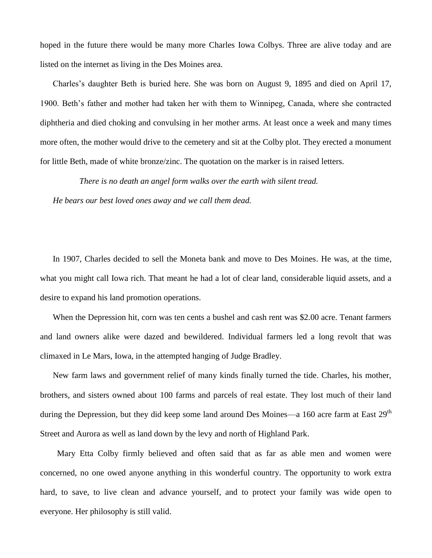hoped in the future there would be many more Charles Iowa Colbys. Three are alive today and are listed on the internet as living in the Des Moines area.

Charles's daughter Beth is buried here. She was born on August 9, 1895 and died on April 17, 1900. Beth's father and mother had taken her with them to Winnipeg, Canada, where she contracted diphtheria and died choking and convulsing in her mother arms. At least once a week and many times more often, the mother would drive to the cemetery and sit at the Colby plot. They erected a monument for little Beth, made of white bronze/zinc. The quotation on the marker is in raised letters.

*There is no death an angel form walks over the earth with silent tread.*

*He bears our best loved ones away and we call them dead.*

In 1907, Charles decided to sell the Moneta bank and move to Des Moines. He was, at the time, what you might call Iowa rich. That meant he had a lot of clear land, considerable liquid assets, and a desire to expand his land promotion operations.

When the Depression hit, corn was ten cents a bushel and cash rent was \$2.00 acre. Tenant farmers and land owners alike were dazed and bewildered. Individual farmers led a long revolt that was climaxed in Le Mars, Iowa, in the attempted hanging of Judge Bradley.

New farm laws and government relief of many kinds finally turned the tide. Charles, his mother, brothers, and sisters owned about 100 farms and parcels of real estate. They lost much of their land during the Depression, but they did keep some land around Des Moines—a 160 acre farm at East  $29<sup>th</sup>$ Street and Aurora as well as land down by the levy and north of Highland Park.

 Mary Etta Colby firmly believed and often said that as far as able men and women were concerned, no one owed anyone anything in this wonderful country. The opportunity to work extra hard, to save, to live clean and advance yourself, and to protect your family was wide open to everyone. Her philosophy is still valid.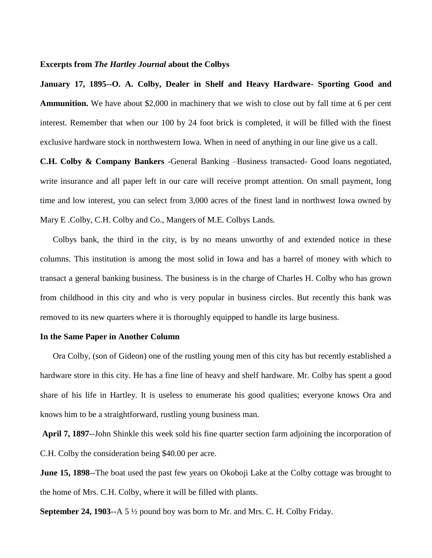## **Excerpts from** *The Hartley Journal* **about the Colbys**

**January 17, 1895--O. A. Colby, Dealer in Shelf and Heavy Hardware- Sporting Good and Ammunition.** We have about \$2,000 in machinery that we wish to close out by fall time at 6 per cent interest. Remember that when our 100 by 24 foot brick is completed, it will be filled with the finest exclusive hardware stock in northwestern Iowa. When in need of anything in our line give us a call.

**C.H. Colby & Company Bankers** -General Banking –Business transacted- Good loans negotiated, write insurance and all paper left in our care will receive prompt attention. On small payment, long time and low interest, you can select from 3,000 acres of the finest land in northwest Iowa owned by Mary E .Colby, C.H. Colby and Co., Mangers of M.E. Colbys Lands.

Colbys bank, the third in the city, is by no means unworthy of and extended notice in these columns. This institution is among the most solid in Iowa and has a barrel of money with which to transact a general banking business. The business is in the charge of Charles H. Colby who has grown from childhood in this city and who is very popular in business circles. But recently this bank was removed to its new quarters where it is thoroughly equipped to handle its large business.

## **In the Same Paper in Another Column**

Ora Colby, (son of Gideon) one of the rustling young men of this city has but recently established a hardware store in this city. He has a fine line of heavy and shelf hardware. Mr. Colby has spent a good share of his life in Hartley. It is useless to enumerate his good qualities; everyone knows Ora and knows him to be a straightforward, rustling young business man.

**April 7, 1897**--John Shinkle this week sold his fine quarter section farm adjoining the incorporation of C.H. Colby the consideration being \$40.00 per acre.

**June 15, 1898**--The boat used the past few years on Okoboji Lake at the Colby cottage was brought to the home of Mrs. C.H. Colby, where it will be filled with plants.

**September 24, 1903**--A 5 ½ pound boy was born to Mr. and Mrs. C. H. Colby Friday.